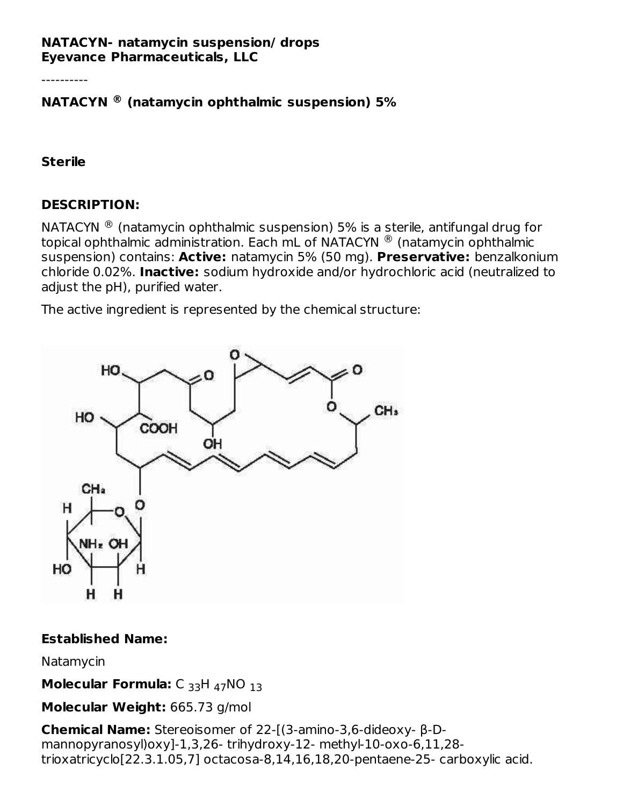#### **NATACYN- natamycin suspension/ drops Eyevance Pharmaceuticals, LLC**

----------

## **NATACYN (natamycin ophthalmic suspension) 5% ®**

#### **Sterile**

## **DESCRIPTION:**

<code>NATACYN</code>  $^\circledR$  (natamycin ophthalmic suspension) 5% is a sterile, antifungal drug for topical ophthalmic administration. Each mL of <code>NATACYN</code>  $^\circledR$  (natamycin ophthalmic suspension) contains: **Active:** natamycin 5% (50 mg). **Preservative:** benzalkonium chloride 0.02%. **Inactive:** sodium hydroxide and/or hydrochloric acid (neutralized to adjust the pH), purified water.

The active ingredient is represented by the chemical structure:



#### **Established Name:**

Natamycin

**Molecular Formula:** C <sub>33</sub>H <sub>47</sub>NO <sub>13</sub>

**Molecular Weight:** 665.73 g/mol

**Chemical Name:** Stereoisomer of 22-[(3-amino-3,6-dideoxy- β-Dmannopyranosyl)oxy]-1,3,26- trihydroxy-12- methyl-10-oxo-6,11,28 trioxatricyclo[22.3.1.05,7] octacosa-8,14,16,18,20-pentaene-25- carboxylic acid.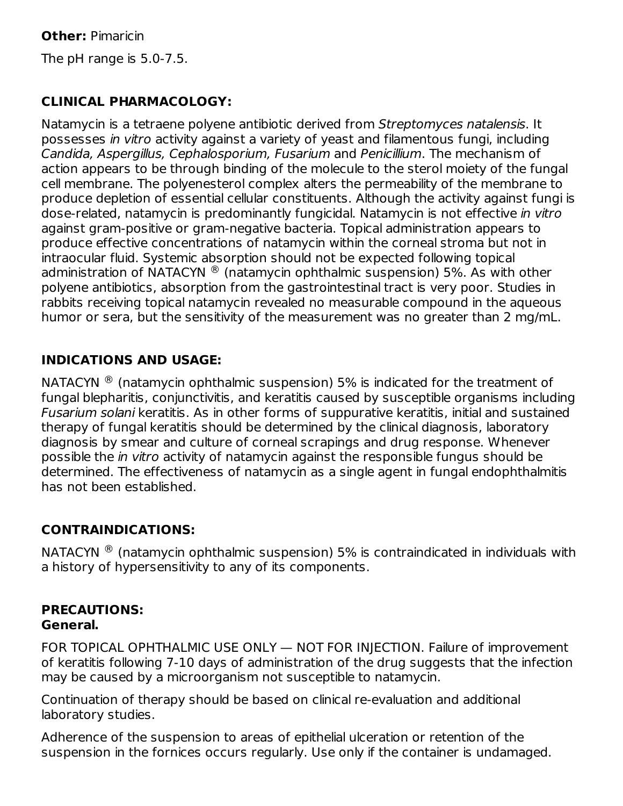**Other:** Pimaricin The pH range is 5.0-7.5.

# **CLINICAL PHARMACOLOGY:**

Natamycin is a tetraene polyene antibiotic derived from Streptomyces natalensis. It possesses in vitro activity against a variety of yeast and filamentous fungi, including Candida, Aspergillus, Cephalosporium, Fusarium and Penicillium. The mechanism of action appears to be through binding of the molecule to the sterol moiety of the fungal cell membrane. The polyenesterol complex alters the permeability of the membrane to produce depletion of essential cellular constituents. Although the activity against fungi is dose-related, natamycin is predominantly fungicidal. Natamycin is not effective in vitro against gram-positive or gram-negative bacteria. Topical administration appears to produce effective concentrations of natamycin within the corneal stroma but not in intraocular fluid. Systemic absorption should not be expected following topical administration of NATACYN  $^{\circledR}$  (natamycin ophthalmic suspension) 5%. As with other polyene antibiotics, absorption from the gastrointestinal tract is very poor. Studies in rabbits receiving topical natamycin revealed no measurable compound in the aqueous humor or sera, but the sensitivity of the measurement was no greater than 2 mg/mL.

## **INDICATIONS AND USAGE:**

NATACYN  $^{\circledR}$  (natamycin ophthalmic suspension) 5% is indicated for the treatment of fungal blepharitis, conjunctivitis, and keratitis caused by susceptible organisms including Fusarium solani keratitis. As in other forms of suppurative keratitis, initial and sustained therapy of fungal keratitis should be determined by the clinical diagnosis, laboratory diagnosis by smear and culture of corneal scrapings and drug response. Whenever possible the in vitro activity of natamycin against the responsible fungus should be determined. The effectiveness of natamycin as a single agent in fungal endophthalmitis has not been established.

# **CONTRAINDICATIONS:**

NATACYN  $^{\circledR}$  (natamycin ophthalmic suspension) 5% is contraindicated in individuals with a history of hypersensitivity to any of its components.

## **PRECAUTIONS: General.**

FOR TOPICAL OPHTHALMIC USE ONLY — NOT FOR INJECTION. Failure of improvement of keratitis following 7-10 days of administration of the drug suggests that the infection may be caused by a microorganism not susceptible to natamycin.

Continuation of therapy should be based on clinical re-evaluation and additional laboratory studies.

Adherence of the suspension to areas of epithelial ulceration or retention of the suspension in the fornices occurs regularly. Use only if the container is undamaged.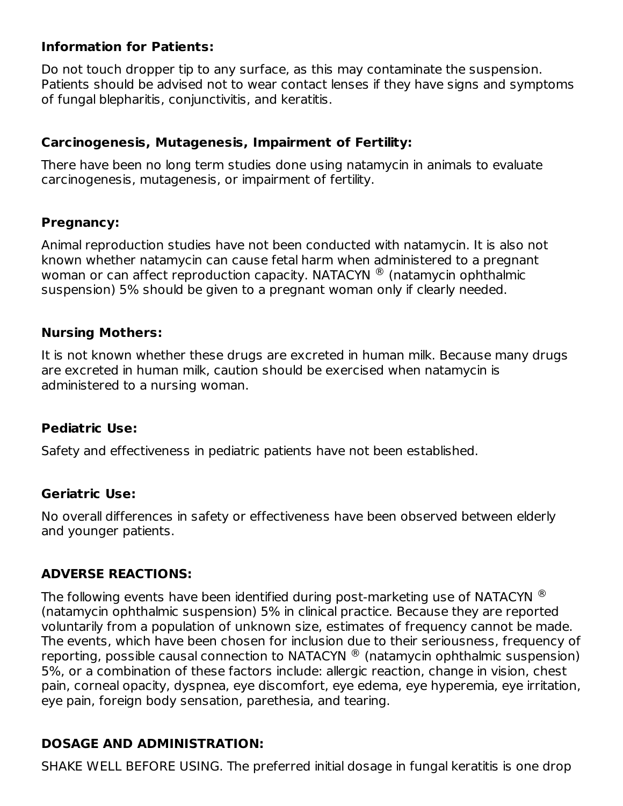## **Information for Patients:**

Do not touch dropper tip to any surface, as this may contaminate the suspension. Patients should be advised not to wear contact lenses if they have signs and symptoms of fungal blepharitis, conjunctivitis, and keratitis.

## **Carcinogenesis, Mutagenesis, Impairment of Fertility:**

There have been no long term studies done using natamycin in animals to evaluate carcinogenesis, mutagenesis, or impairment of fertility.

## **Pregnancy:**

Animal reproduction studies have not been conducted with natamycin. It is also not known whether natamycin can cause fetal harm when administered to a pregnant woman or can affect reproduction capacity. <code>NATACYN</code>  $^{\circledR}$  (natamycin ophthalmic suspension) 5% should be given to a pregnant woman only if clearly needed.

## **Nursing Mothers:**

It is not known whether these drugs are excreted in human milk. Because many drugs are excreted in human milk, caution should be exercised when natamycin is administered to a nursing woman.

## **Pediatric Use:**

Safety and effectiveness in pediatric patients have not been established.

## **Geriatric Use:**

No overall differences in safety or effectiveness have been observed between elderly and younger patients.

## **ADVERSE REACTIONS:**

The following events have been identified during post-marketing use of NATACYN  $^\circledR$ (natamycin ophthalmic suspension) 5% in clinical practice. Because they are reported voluntarily from a population of unknown size, estimates of frequency cannot be made. The events, which have been chosen for inclusion due to their seriousness, frequency of reporting, possible causal connection to NATACYN  $^{\circledR}$  (natamycin ophthalmic suspension) 5%, or a combination of these factors include: allergic reaction, change in vision, chest pain, corneal opacity, dyspnea, eye discomfort, eye edema, eye hyperemia, eye irritation, eye pain, foreign body sensation, parethesia, and tearing.

# **DOSAGE AND ADMINISTRATION:**

SHAKE WELL BEFORE USING. The preferred initial dosage in fungal keratitis is one drop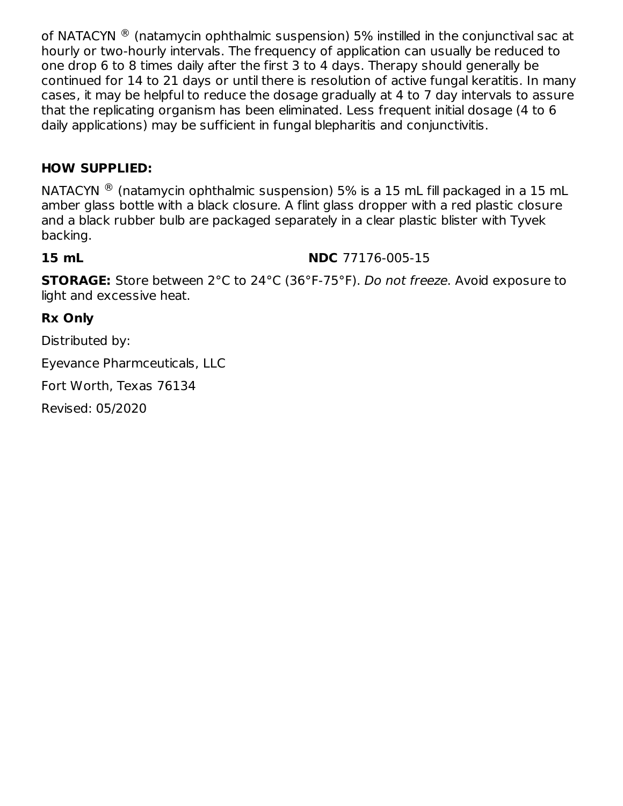of NATACYN  $^\circledR$  (natamycin ophthalmic suspension) 5% instilled in the conjunctival sac at hourly or two-hourly intervals. The frequency of application can usually be reduced to one drop 6 to 8 times daily after the first 3 to 4 days. Therapy should generally be continued for 14 to 21 days or until there is resolution of active fungal keratitis. In many cases, it may be helpful to reduce the dosage gradually at 4 to 7 day intervals to assure that the replicating organism has been eliminated. Less frequent initial dosage (4 to 6 daily applications) may be sufficient in fungal blepharitis and conjunctivitis.

## **HOW SUPPLIED:**

<code>NATACYN</code>  $^{\circledR}$  (natamycin ophthalmic suspension) 5% is a 15 mL fill packaged in a 15 mL amber glass bottle with a black closure. A flint glass dropper with a red plastic closure and a black rubber bulb are packaged separately in a clear plastic blister with Tyvek backing.

#### **15 mL NDC** 77176-005-15

**STORAGE:** Store between 2°C to 24°C (36°F-75°F). Do not freeze. Avoid exposure to light and excessive heat.

## **Rx Only**

Distributed by:

Eyevance Pharmceuticals, LLC

Fort Worth, Texas 76134

Revised: 05/2020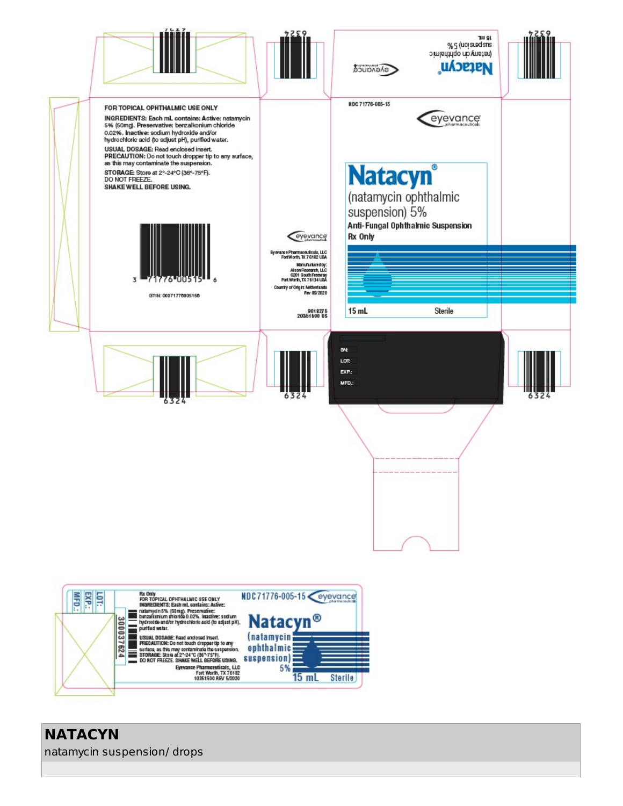

**NATACYN** natamycin suspension/ drops